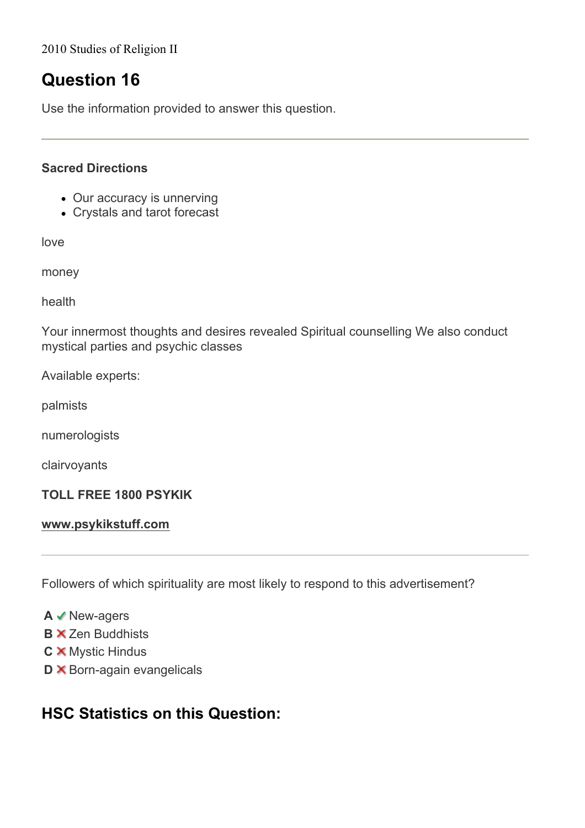2010 Studies of Religion II

# **Question 16**

Use the information provided to answer this question.

### **Sacred Directions**

- Our accuracy is unnerving
- Crystals and tarot forecast

love

money

health

Your innermost thoughts and desires revealed Spiritual counselling We also conduct mystical parties and psychic classes

Available experts:

palmists

numerologists

clairvoyants

#### **TOLL FREE 1800 PSYKIK**

#### **www.psykikstuff.com**

Followers of which spirituality are most likely to respond to this advertisement?

**A** New-agers

- **B**  $\times$  Zen Buddhists
- **C X** Mystic Hindus
- **D X** Born-again evangelicals

## **HSC Statistics on this Question:**